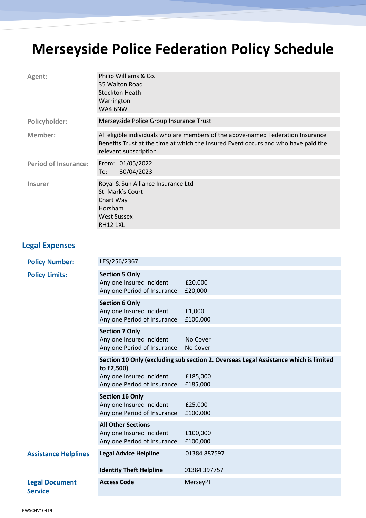## **Merseyside Police Federation Policy Schedule**

| Agent:                      | Philip Williams & Co.<br>35 Walton Road<br><b>Stockton Heath</b><br>Warrington<br>WA4 6NW                                                                                                       |
|-----------------------------|-------------------------------------------------------------------------------------------------------------------------------------------------------------------------------------------------|
| Policyholder:               | Merseyside Police Group Insurance Trust                                                                                                                                                         |
| Member:                     | All eligible individuals who are members of the above-named Federation Insurance<br>Benefits Trust at the time at which the Insured Event occurs and who have paid the<br>relevant subscription |
| <b>Period of Insurance:</b> | From: 01/05/2022<br>30/04/2023<br>To:                                                                                                                                                           |
| <b>Insurer</b>              | Royal & Sun Alliance Insurance Ltd<br>St. Mark's Court<br>Chart Way<br>Horsham<br><b>West Sussex</b><br><b>RH12 1XL</b>                                                                         |

## **Legal Expenses**

| <b>Policy Number:</b>                   | LES/256/2367                                                                         |                                                                                                              |
|-----------------------------------------|--------------------------------------------------------------------------------------|--------------------------------------------------------------------------------------------------------------|
| <b>Policy Limits:</b>                   | <b>Section 5 Only</b><br>Any one Insured Incident<br>Any one Period of Insurance     | £20,000<br>£20,000                                                                                           |
|                                         | <b>Section 6 Only</b><br>Any one Insured Incident<br>Any one Period of Insurance     | £1,000<br>£100,000                                                                                           |
|                                         | <b>Section 7 Only</b><br>Any one Insured Incident<br>Any one Period of Insurance     | No Cover<br>No Cover                                                                                         |
|                                         | to £2,500)<br>Any one Insured Incident<br>Any one Period of Insurance                | Section 10 Only (excluding sub section 2. Overseas Legal Assistance which is limited<br>£185,000<br>£185,000 |
|                                         | <b>Section 16 Only</b><br>Any one Insured Incident<br>Any one Period of Insurance    | £25,000<br>£100,000                                                                                          |
|                                         | <b>All Other Sections</b><br>Any one Insured Incident<br>Any one Period of Insurance | £100,000<br>£100,000                                                                                         |
| <b>Assistance Helplines</b>             | <b>Legal Advice Helpline</b>                                                         | 01384 887597                                                                                                 |
|                                         | <b>Identity Theft Helpline</b>                                                       | 01384 397757                                                                                                 |
| <b>Legal Document</b><br><b>Service</b> | <b>Access Code</b>                                                                   | MerseyPF                                                                                                     |